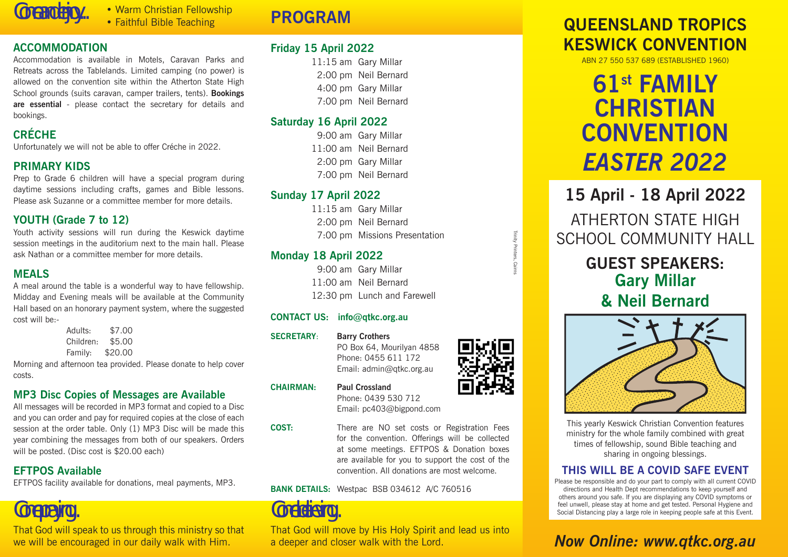Come and enjoy... • Warm Christian Fellowship • Faithful Bible Teaching

#### **ACCOMMODATION**

Accommodation is available in Motels, Caravan Parks and Retreats across the Tablelands. Limited camping (no power) is allowed on the convention site within the Atherton State High School grounds (suits caravan, camper trailers, tents). **Bookings are essential** - please contact the secretary for details and bookings.

### **CRÉCHE**

Unfortunately we will not be able to offer Créche in 2022.

#### **PRIMARY KIDS**

Prep to Grade 6 children will have a special program during daytime sessions including crafts, games and Bible lessons. Please ask Suzanne or a committee member for more details.

#### **YOUTH (Grade 7 to 12)**

Youth activity sessions will run during the Keswick daytime session meetings in the auditorium next to the main hall. Please ask Nathan or a committee member for more details.

#### **MEALS**

A meal around the table is a wonderful way to have fellowship. Midday and Evening meals will be available at the Community Hall based on an honorary payment system, where the suggested cost will be:-

| Adults:   | \$7.00  |
|-----------|---------|
| Children: | \$5.00  |
| Family:   | \$20.00 |

Morning and afternoon tea provided. Please donate to help cover costs.

### **MP3 Disc Copies of Messages are Available**

All messages will be recorded in MP3 format and copied to a Disc and you can order and pay for required copies at the close of each session at the order table. Only (1) MP3 Disc will be made this year combining the messages from both of our speakers. Orders will be posted. (Disc cost is \$20.00 each)

#### **EFTPOS Available**

EFTPOS facility available for donations, meal payments, MP3.

# Come praying...

That God will speak to us through this ministry so that we will be encouraged in our daily walk with Him.

# **PROGRAM**

### **Friday 15 April 2022**

11:15 am Gary Millar 2:00 pm Neil Bernard 4:00 pm Gary Millar 7:00 pm Neil Bernard

### **Saturday 16 April 2022**

9:00 am Gary Millar 11:00 am Neil Bernard 2:00 pm Gary Millar 7:00 pm Neil Bernard

### **Sunday 17 April 2022**

11:15 am Gary Millar 2:00 pm Neil Bernard 7:00 pm Missions Presentation

### **Monday 18 April 2022**

 9:00 am Gary Millar 11:00 am Neil Bernard 12:30 pm Lunch and Farewell

#### **CONTACT US: info@qtkc.org.au**

**SECRETARY**: **Barry Crothers**

PO Box 64, Mourilyan 4858 Phone: 0455 611 172 Email: admin@qtkc.org.au

**CHAIRMAN: Paul Crossland**

Phone: 0439 530 712 Email: pc403@bigpond.com

**COST:** There are NO set costs or Registration Fees for the convention. Offerings will be collected at some meetings. EFTPOS & Donation boxes are available for you to support the cost of the convention. All donations are most welcome.

#### **BANK DETAILS:** Westpac BSB 034612 A/C 760516

Come believing...

That God will move by His Holy Spirit and lead us into a deeper and closer walk with the Lord.

## **QUEENSLAND TROPICS KESWICK CONVENTION**

ABN 27 550 537 689 (ESTABLISHED 1960)

# **61st FAMILY CHRISTIAN CONVENTION** *EASTER 2022*

**15 April - 18 April 2022** ATHERTON STATE HIGH SCHOOL COMMUNITY HALL

## **GUEST SPEAKERS: Gary Millar & Neil Bernard**



This yearly Keswick Christian Convention features ministry for the whole family combined with great times of fellowship, sound Bible teaching and sharing in ongoing blessings.

### **THIS WILL BE A COVID SAFE EVENT**

Please be responsible and do your part to comply with all current COVID directions and Health Dept recommendations to keep yourself and others around you safe. If you are displaying any COVID symptoms or feel unwell, please stay at home and get tested. Personal Hygiene and Social Distancing play a large role in keeping people safe at this Event.

# *Now Online: www.qtkc.org.au*



Trinity Printers, Cairns

**Trinity Printers**